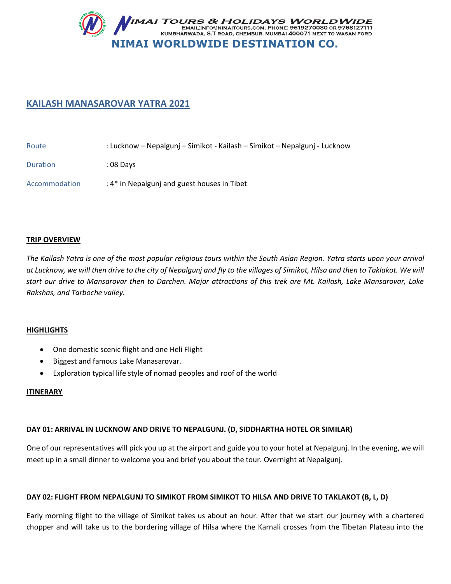

# **KAILASH MANASAROVAR YATRA 2021**

| Route           | : Lucknow – Nepalgunj – Simikot - Kailash – Simikot – Nepalgunj - Lucknow |
|-----------------|---------------------------------------------------------------------------|
| <b>Duration</b> | : 08 Days                                                                 |
| Accommodation   | : 4* in Nepalgunj and guest houses in Tibet                               |

### **TRIP OVERVIEW**

*The Kailash Yatra is one of the most popular religious tours within the South Asian Region. Yatra starts upon your arrival at Lucknow, we will then drive to the city of Nepalgunj and fly to the villages of Simikot, Hilsa and then to Taklakot. We will start our drive to Mansarovar then to Darchen. Major attractions of this trek are Mt. Kailash, Lake Mansarovar, Lake Rakshas, and Tarboche valley.* 

#### **HIGHLIGHTS**

- One domestic scenic flight and one Heli Flight
- **•** Biggest and famous Lake Manasarovar.
- Exploration typical life style of nomad peoples and roof of the world

#### **ITINERARY**

### **DAY 01: ARRIVAL IN LUCKNOW AND DRIVE TO NEPALGUNJ. (D, SIDDHARTHA HOTEL OR SIMILAR)**

One of our representatives will pick you up at the airport and guide you to your hotel at Nepalgunj. In the evening, we will meet up in a small dinner to welcome you and brief you about the tour. Overnight at Nepalgunj.

### **DAY 02: FLIGHT FROM NEPALGUNJ TO SIMIKOT FROM SIMIKOT TO HILSA AND DRIVE TO TAKLAKOT (B, L, D)**

Early morning flight to the village of Simikot takes us about an hour. After that we start our journey with a chartered chopper and will take us to the bordering village of Hilsa where the Karnali crosses from the Tibetan Plateau into the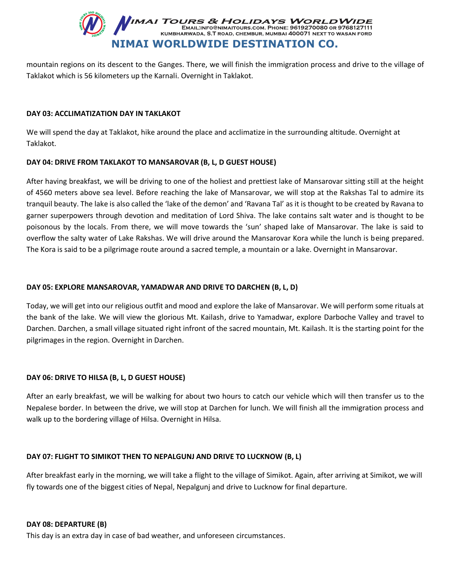

mountain regions on its descent to the Ganges. There, we will finish the immigration process and drive to the village of Taklakot which is 56 kilometers up the Karnali. Overnight in Taklakot.

### **DAY 03: ACCLIMATIZATION DAY IN TAKLAKOT**

We will spend the day at Taklakot, hike around the place and acclimatize in the surrounding altitude. Overnight at Taklakot.

### **DAY 04: DRIVE FROM TAKLAKOT TO MANSAROVAR (B, L, D GUEST HOUSE)**

After having breakfast, we will be driving to one of the holiest and prettiest lake of Mansarovar sitting still at the height of 4560 meters above sea level. Before reaching the lake of Mansarovar, we will stop at the Rakshas Tal to admire its tranquil beauty. The lake is also called the 'lake of the demon' and 'Ravana Tal' as it is thought to be created by Ravana to garner superpowers through devotion and meditation of Lord Shiva. The lake contains salt water and is thought to be poisonous by the locals. From there, we will move towards the 'sun' shaped lake of Mansarovar. The lake is said to overflow the salty water of Lake Rakshas. We will drive around the Mansarovar Kora while the lunch is being prepared. The Kora is said to be a pilgrimage route around a sacred temple, a mountain or a lake. Overnight in Mansarovar.

### **DAY 05: EXPLORE MANSAROVAR, YAMADWAR AND DRIVE TO DARCHEN (B, L, D)**

Today, we will get into our religious outfit and mood and explore the lake of Mansarovar. We will perform some rituals at the bank of the lake. We will view the glorious Mt. Kailash, drive to Yamadwar, explore Darboche Valley and travel to Darchen. Darchen, a small village situated right infront of the sacred mountain, Mt. Kailash. It is the starting point for the pilgrimages in the region. Overnight in Darchen.

### **DAY 06: DRIVE TO HILSA (B, L, D GUEST HOUSE)**

After an early breakfast, we will be walking for about two hours to catch our vehicle which will then transfer us to the Nepalese border. In between the drive, we will stop at Darchen for lunch. We will finish all the immigration process and walk up to the bordering village of Hilsa. Overnight in Hilsa.

### **DAY 07: FLIGHT TO SIMIKOT THEN TO NEPALGUNJ AND DRIVE TO LUCKNOW (B, L)**

After breakfast early in the morning, we will take a flight to the village of Simikot. Again, after arriving at Simikot, we will fly towards one of the biggest cities of Nepal, Nepalgunj and drive to Lucknow for final departure.

#### **DAY 08: DEPARTURE (B)**

This day is an extra day in case of bad weather, and unforeseen circumstances.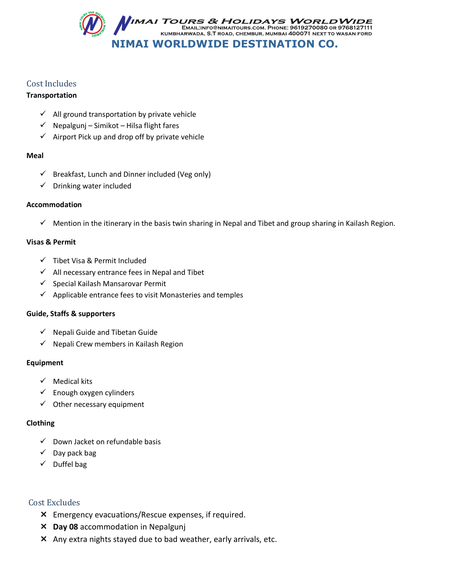

## Cost Includes

## **Transportation**

- $\checkmark$  All ground transportation by private vehicle
- $\checkmark$  Nepalgunj Simikot Hilsa flight fares
- $\checkmark$  Airport Pick up and drop off by private vehicle

## **Meal**

- $\checkmark$  Breakfast, Lunch and Dinner included (Veg only)
- $\checkmark$  Drinking water included

## **Accommodation**

 $\checkmark$  Mention in the itinerary in the basis twin sharing in Nepal and Tibet and group sharing in Kailash Region.

## **Visas & Permit**

- $\checkmark$  Tibet Visa & Permit Included
- $\checkmark$  All necessary entrance fees in Nepal and Tibet
- $\checkmark$  Special Kailash Mansarovar Permit
- $\checkmark$  Applicable entrance fees to visit Monasteries and temples

## **Guide, Staffs & supporters**

- $\checkmark$  Nepali Guide and Tibetan Guide
- $\checkmark$  Nepali Crew members in Kailash Region

## **Equipment**

- $\checkmark$  Medical kits
- $\checkmark$  Enough oxygen cylinders
- $\checkmark$  Other necessary equipment

## **Clothing**

- $\checkmark$  Down Jacket on refundable basis
- $\checkmark$  Day pack bag
- $\checkmark$  Duffel bag

## Cost Excludes

- Emergency evacuations/Rescue expenses, if required.
- **Day 08** accommodation in Nepalgunj
- Any extra nights stayed due to bad weather, early arrivals, etc.